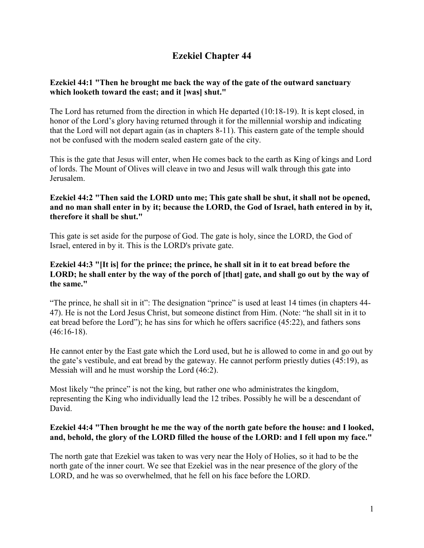# **Ezekiel Chapter 44**

## **Ezekiel 44:1 "Then he brought me back the way of the gate of the outward sanctuary which looketh toward the east; and it [was] shut."**

The Lord has returned from the direction in which He departed (10:18-19). It is kept closed, in honor of the Lord's glory having returned through it for the millennial worship and indicating that the Lord will not depart again (as in chapters 8-11). This eastern gate of the temple should not be confused with the modern sealed eastern gate of the city.

This is the gate that Jesus will enter, when He comes back to the earth as King of kings and Lord of lords. The Mount of Olives will cleave in two and Jesus will walk through this gate into Jerusalem.

## **Ezekiel 44:2 "Then said the LORD unto me; This gate shall be shut, it shall not be opened, and no man shall enter in by it; because the LORD, the God of Israel, hath entered in by it, therefore it shall be shut."**

This gate is set aside for the purpose of God. The gate is holy, since the LORD, the God of Israel, entered in by it. This is the LORD's private gate.

## **Ezekiel 44:3 "[It is] for the prince; the prince, he shall sit in it to eat bread before the**  LORD; he shall enter by the way of the porch of [that] gate, and shall go out by the way of **the same."**

"The prince, he shall sit in it": The designation "prince" is used at least 14 times (in chapters 44- 47). He is not the Lord Jesus Christ, but someone distinct from Him. (Note: "he shall sit in it to eat bread before the Lord"); he has sins for which he offers sacrifice (45:22), and fathers sons  $(46:16-18)$ .

He cannot enter by the East gate which the Lord used, but he is allowed to come in and go out by the gate's vestibule, and eat bread by the gateway. He cannot perform priestly duties (45:19), as Messiah will and he must worship the Lord (46:2).

Most likely "the prince" is not the king, but rather one who administrates the kingdom, representing the King who individually lead the 12 tribes. Possibly he will be a descendant of David.

#### **Ezekiel 44:4 "Then brought he me the way of the north gate before the house: and I looked, and, behold, the glory of the LORD filled the house of the LORD: and I fell upon my face."**

The north gate that Ezekiel was taken to was very near the Holy of Holies, so it had to be the north gate of the inner court. We see that Ezekiel was in the near presence of the glory of the LORD, and he was so overwhelmed, that he fell on his face before the LORD.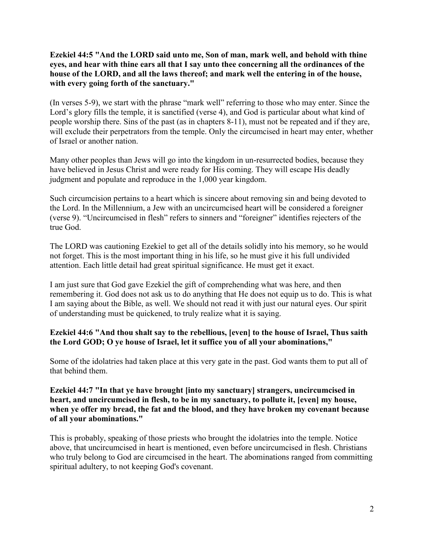**Ezekiel 44:5 "And the LORD said unto me, Son of man, mark well, and behold with thine eyes, and hear with thine ears all that I say unto thee concerning all the ordinances of the house of the LORD, and all the laws thereof; and mark well the entering in of the house, with every going forth of the sanctuary."**

(In verses 5-9), we start with the phrase "mark well" referring to those who may enter. Since the Lord's glory fills the temple, it is sanctified (verse 4), and God is particular about what kind of people worship there. Sins of the past (as in chapters 8-11), must not be repeated and if they are, will exclude their perpetrators from the temple. Only the circumcised in heart may enter, whether of Israel or another nation.

Many other peoples than Jews will go into the kingdom in un-resurrected bodies, because they have believed in Jesus Christ and were ready for His coming. They will escape His deadly judgment and populate and reproduce in the 1,000 year kingdom.

Such circumcision pertains to a heart which is sincere about removing sin and being devoted to the Lord. In the Millennium, a Jew with an uncircumcised heart will be considered a foreigner (verse 9). "Uncircumcised in flesh" refers to sinners and "foreigner" identifies rejecters of the true God.

The LORD was cautioning Ezekiel to get all of the details solidly into his memory, so he would not forget. This is the most important thing in his life, so he must give it his full undivided attention. Each little detail had great spiritual significance. He must get it exact.

I am just sure that God gave Ezekiel the gift of comprehending what was here, and then remembering it. God does not ask us to do anything that He does not equip us to do. This is what I am saying about the Bible, as well. We should not read it with just our natural eyes. Our spirit of understanding must be quickened, to truly realize what it is saying.

## **Ezekiel 44:6 "And thou shalt say to the rebellious, [even] to the house of Israel, Thus saith the Lord GOD; O ye house of Israel, let it suffice you of all your abominations,"**

Some of the idolatries had taken place at this very gate in the past. God wants them to put all of that behind them.

### **Ezekiel 44:7 "In that ye have brought [into my sanctuary] strangers, uncircumcised in heart, and uncircumcised in flesh, to be in my sanctuary, to pollute it, [even] my house, when ye offer my bread, the fat and the blood, and they have broken my covenant because of all your abominations."**

This is probably, speaking of those priests who brought the idolatries into the temple. Notice above, that uncircumcised in heart is mentioned, even before uncircumcised in flesh. Christians who truly belong to God are circumcised in the heart. The abominations ranged from committing spiritual adultery, to not keeping God's covenant.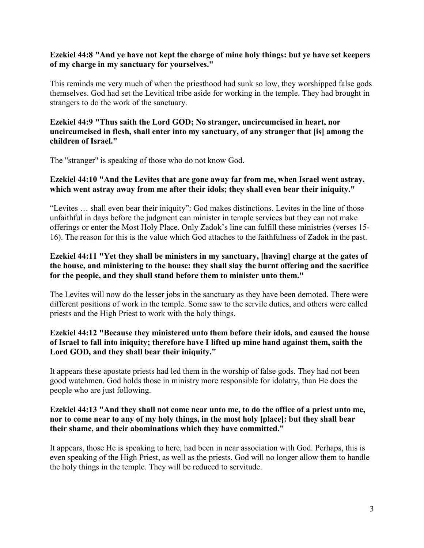#### **Ezekiel 44:8 "And ye have not kept the charge of mine holy things: but ye have set keepers of my charge in my sanctuary for yourselves."**

This reminds me very much of when the priesthood had sunk so low, they worshipped false gods themselves. God had set the Levitical tribe aside for working in the temple. They had brought in strangers to do the work of the sanctuary.

### **Ezekiel 44:9 "Thus saith the Lord GOD; No stranger, uncircumcised in heart, nor uncircumcised in flesh, shall enter into my sanctuary, of any stranger that [is] among the children of Israel."**

The "stranger" is speaking of those who do not know God.

## **Ezekiel 44:10 "And the Levites that are gone away far from me, when Israel went astray, which went astray away from me after their idols; they shall even bear their iniquity."**

"Levites … shall even bear their iniquity": God makes distinctions. Levites in the line of those unfaithful in days before the judgment can minister in temple services but they can not make offerings or enter the Most Holy Place. Only Zadok's line can fulfill these ministries (verses 15- 16). The reason for this is the value which God attaches to the faithfulness of Zadok in the past.

## **Ezekiel 44:11 "Yet they shall be ministers in my sanctuary, [having] charge at the gates of the house, and ministering to the house: they shall slay the burnt offering and the sacrifice for the people, and they shall stand before them to minister unto them."**

The Levites will now do the lesser jobs in the sanctuary as they have been demoted. There were different positions of work in the temple. Some saw to the servile duties, and others were called priests and the High Priest to work with the holy things.

## **Ezekiel 44:12 "Because they ministered unto them before their idols, and caused the house of Israel to fall into iniquity; therefore have I lifted up mine hand against them, saith the Lord GOD, and they shall bear their iniquity."**

It appears these apostate priests had led them in the worship of false gods. They had not been good watchmen. God holds those in ministry more responsible for idolatry, than He does the people who are just following.

## **Ezekiel 44:13 "And they shall not come near unto me, to do the office of a priest unto me, nor to come near to any of my holy things, in the most holy [place]: but they shall bear their shame, and their abominations which they have committed."**

It appears, those He is speaking to here, had been in near association with God. Perhaps, this is even speaking of the High Priest, as well as the priests. God will no longer allow them to handle the holy things in the temple. They will be reduced to servitude.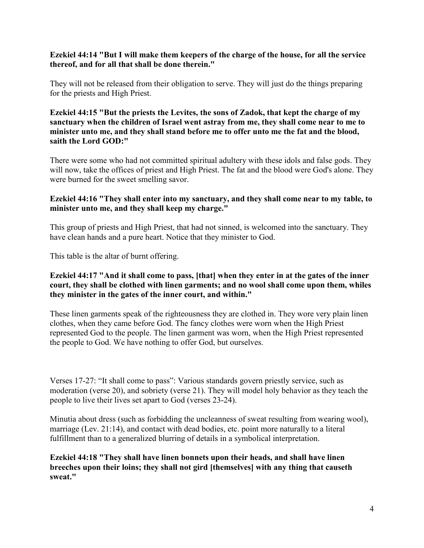#### **Ezekiel 44:14 "But I will make them keepers of the charge of the house, for all the service thereof, and for all that shall be done therein."**

They will not be released from their obligation to serve. They will just do the things preparing for the priests and High Priest.

**Ezekiel 44:15 "But the priests the Levites, the sons of Zadok, that kept the charge of my sanctuary when the children of Israel went astray from me, they shall come near to me to minister unto me, and they shall stand before me to offer unto me the fat and the blood, saith the Lord GOD:"**

There were some who had not committed spiritual adultery with these idols and false gods. They will now, take the offices of priest and High Priest. The fat and the blood were God's alone. They were burned for the sweet smelling savor.

### **Ezekiel 44:16 "They shall enter into my sanctuary, and they shall come near to my table, to minister unto me, and they shall keep my charge."**

This group of priests and High Priest, that had not sinned, is welcomed into the sanctuary. They have clean hands and a pure heart. Notice that they minister to God.

This table is the altar of burnt offering.

#### **Ezekiel 44:17 "And it shall come to pass, [that] when they enter in at the gates of the inner court, they shall be clothed with linen garments; and no wool shall come upon them, whiles they minister in the gates of the inner court, and within."**

These linen garments speak of the righteousness they are clothed in. They wore very plain linen clothes, when they came before God. The fancy clothes were worn when the High Priest represented God to the people. The linen garment was worn, when the High Priest represented the people to God. We have nothing to offer God, but ourselves.

Verses 17-27: "It shall come to pass": Various standards govern priestly service, such as moderation (verse 20), and sobriety (verse 21). They will model holy behavior as they teach the people to live their lives set apart to God (verses 23-24).

Minutia about dress (such as forbidding the uncleanness of sweat resulting from wearing wool), marriage (Lev. 21:14), and contact with dead bodies, etc. point more naturally to a literal fulfillment than to a generalized blurring of details in a symbolical interpretation.

**Ezekiel 44:18 "They shall have linen bonnets upon their heads, and shall have linen breeches upon their loins; they shall not gird [themselves] with any thing that causeth sweat."**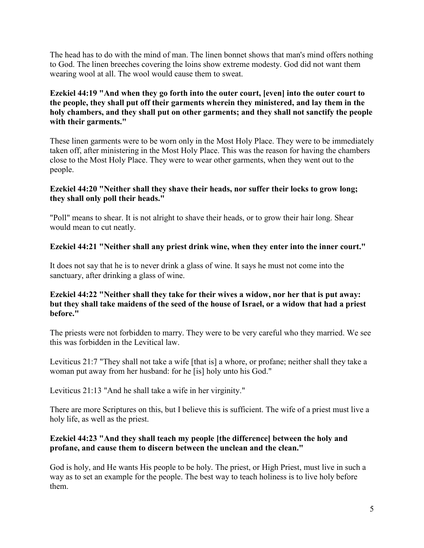The head has to do with the mind of man. The linen bonnet shows that man's mind offers nothing to God. The linen breeches covering the loins show extreme modesty. God did not want them wearing wool at all. The wool would cause them to sweat.

## **Ezekiel 44:19 "And when they go forth into the outer court, [even] into the outer court to the people, they shall put off their garments wherein they ministered, and lay them in the holy chambers, and they shall put on other garments; and they shall not sanctify the people with their garments."**

These linen garments were to be worn only in the Most Holy Place. They were to be immediately taken off, after ministering in the Most Holy Place. This was the reason for having the chambers close to the Most Holy Place. They were to wear other garments, when they went out to the people.

## **Ezekiel 44:20 "Neither shall they shave their heads, nor suffer their locks to grow long; they shall only poll their heads."**

"Poll" means to shear. It is not alright to shave their heads, or to grow their hair long. Shear would mean to cut neatly.

## **Ezekiel 44:21 "Neither shall any priest drink wine, when they enter into the inner court."**

It does not say that he is to never drink a glass of wine. It says he must not come into the sanctuary, after drinking a glass of wine.

#### **Ezekiel 44:22 "Neither shall they take for their wives a widow, nor her that is put away: but they shall take maidens of the seed of the house of Israel, or a widow that had a priest before."**

The priests were not forbidden to marry. They were to be very careful who they married. We see this was forbidden in the Levitical law.

Leviticus 21:7 "They shall not take a wife [that is] a whore, or profane; neither shall they take a woman put away from her husband: for he [is] holy unto his God."

Leviticus 21:13 "And he shall take a wife in her virginity."

There are more Scriptures on this, but I believe this is sufficient. The wife of a priest must live a holy life, as well as the priest.

# **Ezekiel 44:23 "And they shall teach my people [the difference] between the holy and profane, and cause them to discern between the unclean and the clean."**

God is holy, and He wants His people to be holy. The priest, or High Priest, must live in such a way as to set an example for the people. The best way to teach holiness is to live holy before them.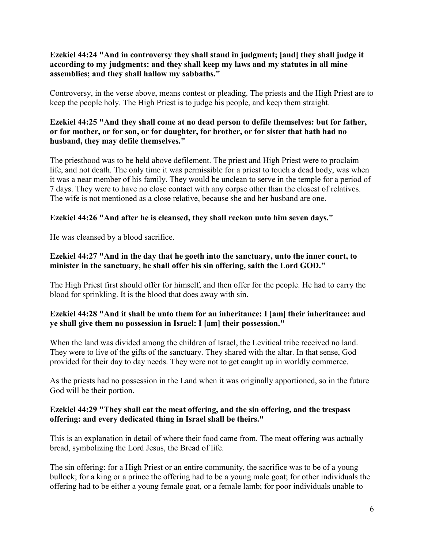**Ezekiel 44:24 "And in controversy they shall stand in judgment; [and] they shall judge it according to my judgments: and they shall keep my laws and my statutes in all mine assemblies; and they shall hallow my sabbaths."**

Controversy, in the verse above, means contest or pleading. The priests and the High Priest are to keep the people holy. The High Priest is to judge his people, and keep them straight.

## **Ezekiel 44:25 "And they shall come at no dead person to defile themselves: but for father, or for mother, or for son, or for daughter, for brother, or for sister that hath had no husband, they may defile themselves."**

The priesthood was to be held above defilement. The priest and High Priest were to proclaim life, and not death. The only time it was permissible for a priest to touch a dead body, was when it was a near member of his family. They would be unclean to serve in the temple for a period of 7 days. They were to have no close contact with any corpse other than the closest of relatives. The wife is not mentioned as a close relative, because she and her husband are one.

# **Ezekiel 44:26 "And after he is cleansed, they shall reckon unto him seven days."**

He was cleansed by a blood sacrifice.

## **Ezekiel 44:27 "And in the day that he goeth into the sanctuary, unto the inner court, to minister in the sanctuary, he shall offer his sin offering, saith the Lord GOD."**

The High Priest first should offer for himself, and then offer for the people. He had to carry the blood for sprinkling. It is the blood that does away with sin.

## **Ezekiel 44:28 "And it shall be unto them for an inheritance: I [am] their inheritance: and ye shall give them no possession in Israel: I [am] their possession."**

When the land was divided among the children of Israel, the Levitical tribe received no land. They were to live of the gifts of the sanctuary. They shared with the altar. In that sense, God provided for their day to day needs. They were not to get caught up in worldly commerce.

As the priests had no possession in the Land when it was originally apportioned, so in the future God will be their portion.

## **Ezekiel 44:29 "They shall eat the meat offering, and the sin offering, and the trespass offering: and every dedicated thing in Israel shall be theirs."**

This is an explanation in detail of where their food came from. The meat offering was actually bread, symbolizing the Lord Jesus, the Bread of life.

The sin offering: for a High Priest or an entire community, the sacrifice was to be of a young bullock; for a king or a prince the offering had to be a young male goat; for other individuals the offering had to be either a young female goat, or a female lamb; for poor individuals unable to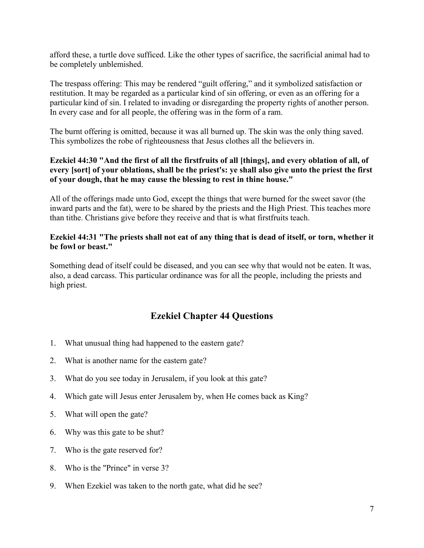afford these, a turtle dove sufficed. Like the other types of sacrifice, the sacrificial animal had to be completely unblemished.

The trespass offering: This may be rendered "guilt offering," and it symbolized satisfaction or restitution. It may be regarded as a particular kind of sin offering, or even as an offering for a particular kind of sin. I related to invading or disregarding the property rights of another person. In every case and for all people, the offering was in the form of a ram.

The burnt offering is omitted, because it was all burned up. The skin was the only thing saved. This symbolizes the robe of righteousness that Jesus clothes all the believers in.

## **Ezekiel 44:30 "And the first of all the firstfruits of all [things], and every oblation of all, of every [sort] of your oblations, shall be the priest's: ye shall also give unto the priest the first of your dough, that he may cause the blessing to rest in thine house."**

All of the offerings made unto God, except the things that were burned for the sweet savor (the inward parts and the fat), were to be shared by the priests and the High Priest. This teaches more than tithe. Christians give before they receive and that is what firstfruits teach.

### **Ezekiel 44:31 "The priests shall not eat of any thing that is dead of itself, or torn, whether it be fowl or beast."**

Something dead of itself could be diseased, and you can see why that would not be eaten. It was, also, a dead carcass. This particular ordinance was for all the people, including the priests and high priest.

# **Ezekiel Chapter 44 Questions**

- 1. What unusual thing had happened to the eastern gate?
- 2. What is another name for the eastern gate?
- 3. What do you see today in Jerusalem, if you look at this gate?
- 4. Which gate will Jesus enter Jerusalem by, when He comes back as King?
- 5. What will open the gate?
- 6. Why was this gate to be shut?
- 7. Who is the gate reserved for?
- 8. Who is the "Prince" in verse 3?
- 9. When Ezekiel was taken to the north gate, what did he see?